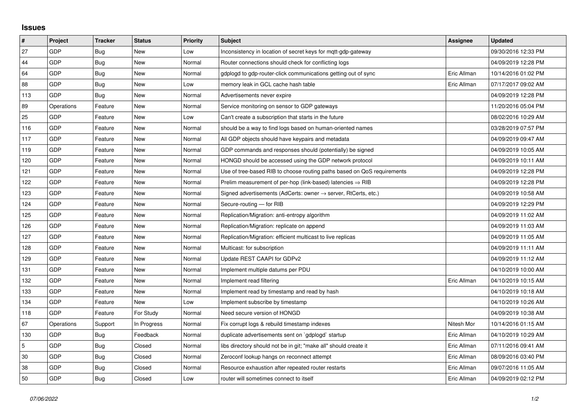## **Issues**

| #   | Project    | <b>Tracker</b> | <b>Status</b> | <b>Priority</b> | <b>Subject</b>                                                          | Assignee    | <b>Updated</b>      |
|-----|------------|----------------|---------------|-----------------|-------------------------------------------------------------------------|-------------|---------------------|
| 27  | GDP        | Bug            | <b>New</b>    | Low             | Inconsistency in location of secret keys for mgtt-gdp-gateway           |             | 09/30/2016 12:33 PM |
| 44  | GDP        | Bug            | New           | Normal          | Router connections should check for conflicting logs                    |             | 04/09/2019 12:28 PM |
| 64  | GDP        | Bug            | New           | Normal          | gdplogd to gdp-router-click communications getting out of sync          | Eric Allman | 10/14/2016 01:02 PM |
| 88  | GDP        | Bug            | <b>New</b>    | Low             | memory leak in GCL cache hash table                                     | Eric Allman | 07/17/2017 09:02 AM |
| 113 | GDP        | <b>Bug</b>     | New           | Normal          | Advertisements never expire                                             |             | 04/09/2019 12:28 PM |
| 89  | Operations | Feature        | New           | Normal          | Service monitoring on sensor to GDP gateways                            |             | 11/20/2016 05:04 PM |
| 25  | GDP        | Feature        | <b>New</b>    | Low             | Can't create a subscription that starts in the future                   |             | 08/02/2016 10:29 AM |
| 116 | GDP        | Feature        | New           | Normal          | should be a way to find logs based on human-oriented names              |             | 03/28/2019 07:57 PM |
| 117 | GDP        | Feature        | <b>New</b>    | Normal          | All GDP objects should have keypairs and metadata                       |             | 04/09/2019 09:47 AM |
| 119 | GDP        | Feature        | New           | Normal          | GDP commands and responses should (potentially) be signed               |             | 04/09/2019 10:05 AM |
| 120 | GDP        | Feature        | New           | Normal          | HONGD should be accessed using the GDP network protocol                 |             | 04/09/2019 10:11 AM |
| 121 | GDP        | Feature        | New           | Normal          | Use of tree-based RIB to choose routing paths based on QoS requirements |             | 04/09/2019 12:28 PM |
| 122 | GDP        | Feature        | New           | Normal          | Prelim measurement of per-hop (link-based) latencies $\Rightarrow$ RIB  |             | 04/09/2019 12:28 PM |
| 123 | GDP        | Feature        | New           | Normal          | Signed advertisements (AdCerts: owner → server, RtCerts, etc.)          |             | 04/09/2019 10:58 AM |
| 124 | GDP        | Feature        | <b>New</b>    | Normal          | Secure-routing - for RIB                                                |             | 04/09/2019 12:29 PM |
| 125 | GDP        | Feature        | New           | Normal          | Replication/Migration: anti-entropy algorithm                           |             | 04/09/2019 11:02 AM |
| 126 | GDP        | Feature        | New           | Normal          | Replication/Migration: replicate on append                              |             | 04/09/2019 11:03 AM |
| 127 | GDP        | Feature        | New           | Normal          | Replication/Migration: efficient multicast to live replicas             |             | 04/09/2019 11:05 AM |
| 128 | GDP        | Feature        | New           | Normal          | Multicast: for subscription                                             |             | 04/09/2019 11:11 AM |
| 129 | GDP        | Feature        | New           | Normal          | Update REST CAAPI for GDPv2                                             |             | 04/09/2019 11:12 AM |
| 131 | GDP        | Feature        | New           | Normal          | Implement multiple datums per PDU                                       |             | 04/10/2019 10:00 AM |
| 132 | GDP        | Feature        | New           | Normal          | Implement read filtering                                                | Eric Allman | 04/10/2019 10:15 AM |
| 133 | GDP        | Feature        | New           | Normal          | Implement read by timestamp and read by hash                            |             | 04/10/2019 10:18 AM |
| 134 | GDP        | Feature        | New           | Low             | Implement subscribe by timestamp                                        |             | 04/10/2019 10:26 AM |
| 118 | <b>GDP</b> | Feature        | For Study     | Normal          | Need secure version of HONGD                                            |             | 04/09/2019 10:38 AM |
| 67  | Operations | Support        | In Progress   | Normal          | Fix corrupt logs & rebuild timestamp indexes                            | Nitesh Mor  | 10/14/2016 01:15 AM |
| 130 | GDP        | Bug            | Feedback      | Normal          | duplicate advertisements sent on `gdplogd` startup                      | Eric Allman | 04/10/2019 10:29 AM |
| 5   | <b>GDP</b> | <b>Bug</b>     | Closed        | Normal          | libs directory should not be in git; "make all" should create it        | Eric Allman | 07/11/2016 09:41 AM |
| 30  | GDP        | <b>Bug</b>     | Closed        | Normal          | Zeroconf lookup hangs on reconnect attempt                              | Eric Allman | 08/09/2016 03:40 PM |
| 38  | GDP        | Bug            | Closed        | Normal          | Resource exhaustion after repeated router restarts                      | Eric Allman | 09/07/2016 11:05 AM |
| 50  | GDP        | Bug            | Closed        | Low             | router will sometimes connect to itself                                 | Eric Allman | 04/09/2019 02:12 PM |